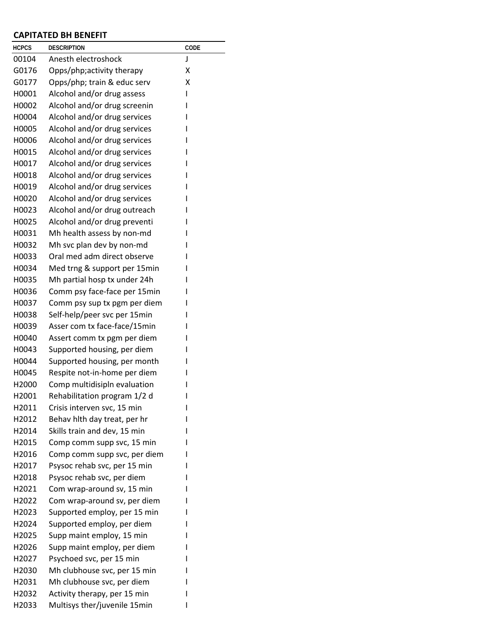## **CAPITATED BH BENEFIT**

| <b>HCPCS</b>      | <b>DESCRIPTION</b>           | CODE |
|-------------------|------------------------------|------|
| 00104             | Anesth electroshock          | J    |
| G0176             | Opps/php;activity therapy    | Χ    |
| G0177             | Opps/php; train & educ serv  | X    |
| H0001             | Alcohol and/or drug assess   | ı    |
| H0002             | Alcohol and/or drug screenin | ı    |
| H0004             | Alcohol and/or drug services | ı    |
| H0005             | Alcohol and/or drug services | ı    |
| H0006             | Alcohol and/or drug services | ı    |
| H0015             | Alcohol and/or drug services | ı    |
| H0017             | Alcohol and/or drug services | ı    |
| H0018             | Alcohol and/or drug services | ı    |
| H0019             | Alcohol and/or drug services | ı    |
| H0020             | Alcohol and/or drug services | ı    |
| H0023             | Alcohol and/or drug outreach | ı    |
| H0025             | Alcohol and/or drug preventi |      |
| H0031             | Mh health assess by non-md   | ı    |
| H0032             | Mh svc plan dev by non-md    | I    |
| H0033             | Oral med adm direct observe  | ı    |
| H0034             | Med trng & support per 15min | ı    |
| H0035             | Mh partial hosp tx under 24h | ı    |
| H0036             | Comm psy face-face per 15min |      |
| H0037             | Comm psy sup tx pgm per diem | ı    |
| H0038             | Self-help/peer svc per 15min | ı    |
| H0039             | Asser com tx face-face/15min | ı    |
| H0040             | Assert comm tx pgm per diem  | ı    |
| H0043             | Supported housing, per diem  | ı    |
| H0044             | Supported housing, per month | ı    |
| H0045             | Respite not-in-home per diem | ı    |
| H <sub>2000</sub> | Comp multidisipln evaluation | ı    |
| H2001             | Rehabilitation program 1/2 d | ı    |
| H2011             | Crisis interven svc, 15 min  | ı    |
| H2012             | Behav hith day treat, per hr |      |
| H2014             | Skills train and dev, 15 min |      |
| H2015             | Comp comm supp svc, 15 min   |      |
| H2016             | Comp comm supp svc, per diem |      |
| H2017             | Psysoc rehab svc, per 15 min |      |
| H <sub>2018</sub> | Psysoc rehab svc, per diem   |      |
| H2021             | Com wrap-around sv, 15 min   |      |
| H2022             | Com wrap-around sv, per diem |      |
| H2023             | Supported employ, per 15 min |      |
| H2024             | Supported employ, per diem   |      |
| H <sub>2025</sub> | Supp maint employ, 15 min    |      |
| H <sub>2026</sub> | Supp maint employ, per diem  |      |
| H2027             | Psychoed svc, per 15 min     |      |
| H <sub>2030</sub> | Mh clubhouse svc, per 15 min |      |
| H2031             | Mh clubhouse svc, per diem   |      |
| H <sub>2032</sub> | Activity therapy, per 15 min |      |
| H2033             | Multisys ther/juvenile 15min | I    |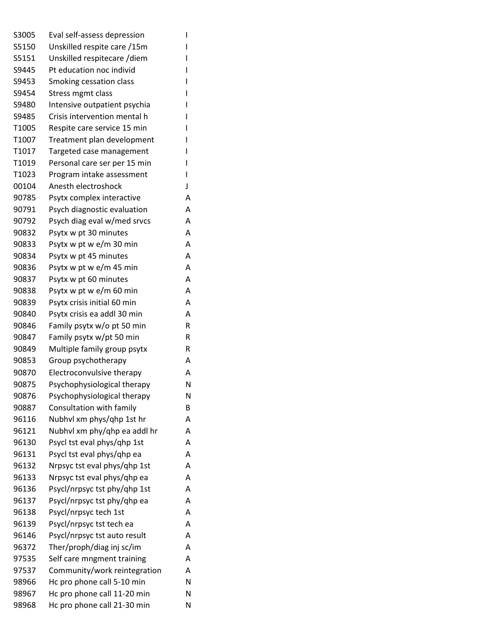| S3005 | Eval self-assess depression  | I |
|-------|------------------------------|---|
| S5150 | Unskilled respite care /15m  | I |
| S5151 | Unskilled respitecare /diem  | I |
| S9445 | Pt education noc individ     | I |
| S9453 | Smoking cessation class      |   |
| S9454 | Stress mgmt class            |   |
| S9480 | Intensive outpatient psychia |   |
| S9485 | Crisis intervention mental h | I |
| T1005 | Respite care service 15 min  | I |
| T1007 | Treatment plan development   |   |
| T1017 | Targeted case management     | I |
| T1019 | Personal care ser per 15 min | I |
| T1023 | Program intake assessment    | L |
| 00104 | Anesth electroshock          | J |
| 90785 | Psytx complex interactive    | Α |
| 90791 | Psych diagnostic evaluation  | А |
| 90792 | Psych diag eval w/med srvcs  | Α |
| 90832 | Psytx w pt 30 minutes        | Α |
| 90833 | Psytx w pt w e/m 30 min      | A |
| 90834 | Psytx w pt 45 minutes        | А |
| 90836 | Psytx w pt w e/m 45 min      | Α |
| 90837 | Psytx w pt 60 minutes        | Α |
| 90838 | Psytx w pt w e/m 60 min      | Α |
| 90839 | Psytx crisis initial 60 min  | Α |
| 90840 | Psytx crisis ea addl 30 min  | Α |
| 90846 | Family psytx w/o pt 50 min   | R |
| 90847 | Family psytx w/pt 50 min     | R |
| 90849 | Multiple family group psytx  | R |
| 90853 | Group psychotherapy          | Α |
| 90870 | Electroconvulsive therapy    | Α |
| 90875 | Psychophysiological therapy  | N |
| 90876 | Psychophysiological therapy  | Ν |
| 90887 | Consultation with family     | B |
| 96116 | Nubhyl xm phys/qhp 1st hr    | Α |
| 96121 | Nubhvl xm phy/qhp ea addl hr | Α |
| 96130 | Psycl tst eval phys/qhp 1st  | Α |
| 96131 | Psycl tst eval phys/ghp ea   | Α |
| 96132 | Nrpsyc tst eval phys/qhp 1st | Α |
| 96133 | Nrpsyc tst eval phys/qhp ea  | Α |
| 96136 | Psycl/nrpsyc tst phy/qhp 1st | Α |
| 96137 | Psycl/nrpsyc tst phy/qhp ea  | Α |
| 96138 | Psycl/nrpsyc tech 1st        | Α |
| 96139 | Psycl/nrpsyc tst tech ea     | Α |
| 96146 | Psycl/nrpsyc tst auto result | Α |
| 96372 | Ther/proph/diag inj sc/im    | Α |
| 97535 | Self care mngment training   | Α |
| 97537 | Community/work reintegration | Α |
| 98966 | Hc pro phone call 5-10 min   | N |
| 98967 | Hc pro phone call 11-20 min  | N |
| 98968 | Hc pro phone call 21-30 min  | N |
|       |                              |   |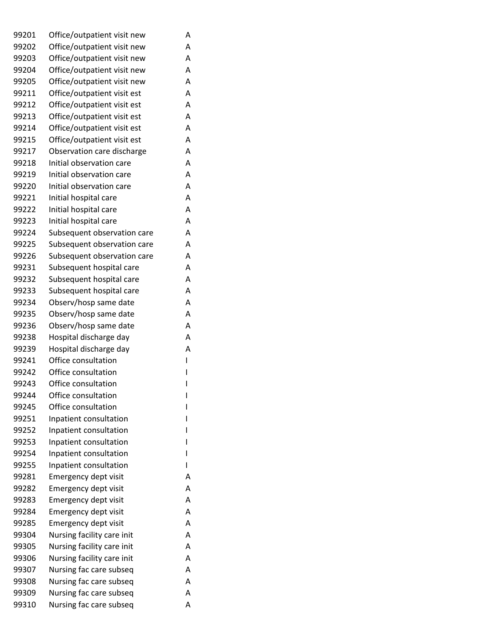| 99201 | Office/outpatient visit new | Α |
|-------|-----------------------------|---|
| 99202 | Office/outpatient visit new | A |
| 99203 | Office/outpatient visit new | A |
| 99204 | Office/outpatient visit new | A |
| 99205 | Office/outpatient visit new | A |
| 99211 | Office/outpatient visit est | A |
| 99212 | Office/outpatient visit est | A |
| 99213 | Office/outpatient visit est | A |
| 99214 | Office/outpatient visit est | A |
| 99215 | Office/outpatient visit est | A |
| 99217 | Observation care discharge  | Α |
| 99218 | Initial observation care    | A |
| 99219 | Initial observation care    | A |
| 99220 | Initial observation care    | Α |
| 99221 | Initial hospital care       | A |
| 99222 | Initial hospital care       | A |
| 99223 | Initial hospital care       | A |
| 99224 | Subsequent observation care | A |
| 99225 | Subsequent observation care | A |
| 99226 | Subsequent observation care | A |
| 99231 | Subsequent hospital care    | A |
| 99232 | Subsequent hospital care    | A |
| 99233 | Subsequent hospital care    | Α |
| 99234 | Observ/hosp same date       | A |
| 99235 | Observ/hosp same date       | A |
| 99236 | Observ/hosp same date       | A |
| 99238 | Hospital discharge day      | A |
| 99239 | Hospital discharge day      | Α |
| 99241 | Office consultation         | ı |
| 99242 | Office consultation         | I |
| 99243 | Office consultation         | ı |
| 99244 | Office consultation         | ı |
| 99245 | Office consultation         |   |
| 99251 | Inpatient consultation      |   |
| 99252 | Inpatient consultation      | ı |
| 99253 | Inpatient consultation      | ı |
| 99254 | Inpatient consultation      |   |
| 99255 | Inpatient consultation      | I |
| 99281 | Emergency dept visit        | A |
| 99282 | Emergency dept visit        | A |
| 99283 | Emergency dept visit        | A |
| 99284 | Emergency dept visit        | Α |
| 99285 | Emergency dept visit        | A |
| 99304 | Nursing facility care init  | A |
| 99305 | Nursing facility care init  | A |
| 99306 | Nursing facility care init  | A |
| 99307 | Nursing fac care subseq     | A |
| 99308 | Nursing fac care subseq     | A |
| 99309 | Nursing fac care subseq     | Α |
| 99310 | Nursing fac care subseq     | Α |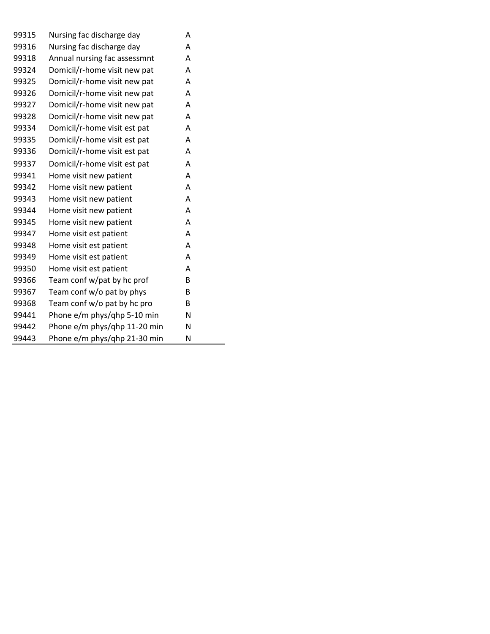| 99315 | Nursing fac discharge day    | А |
|-------|------------------------------|---|
| 99316 | Nursing fac discharge day    | А |
| 99318 | Annual nursing fac assessmnt | A |
| 99324 | Domicil/r-home visit new pat | A |
| 99325 | Domicil/r-home visit new pat | A |
| 99326 | Domicil/r-home visit new pat | A |
| 99327 | Domicil/r-home visit new pat | A |
| 99328 | Domicil/r-home visit new pat | A |
| 99334 | Domicil/r-home visit est pat | Α |
| 99335 | Domicil/r-home visit est pat | A |
| 99336 | Domicil/r-home visit est pat | A |
| 99337 | Domicil/r-home visit est pat | A |
| 99341 | Home visit new patient       | A |
| 99342 | Home visit new patient       | A |
| 99343 | Home visit new patient       | A |
| 99344 | Home visit new patient       | A |
| 99345 | Home visit new patient       | A |
| 99347 | Home visit est patient       | A |
| 99348 | Home visit est patient       | A |
| 99349 | Home visit est patient       | A |
| 99350 | Home visit est patient       | A |
| 99366 | Team conf w/pat by hc prof   | B |
| 99367 | Team conf w/o pat by phys    | B |
| 99368 | Team conf w/o pat by hc pro  | B |
| 99441 | Phone e/m phys/qhp 5-10 min  | Ν |
| 99442 | Phone e/m phys/qhp 11-20 min | N |
| 99443 | Phone e/m phys/qhp 21-30 min | N |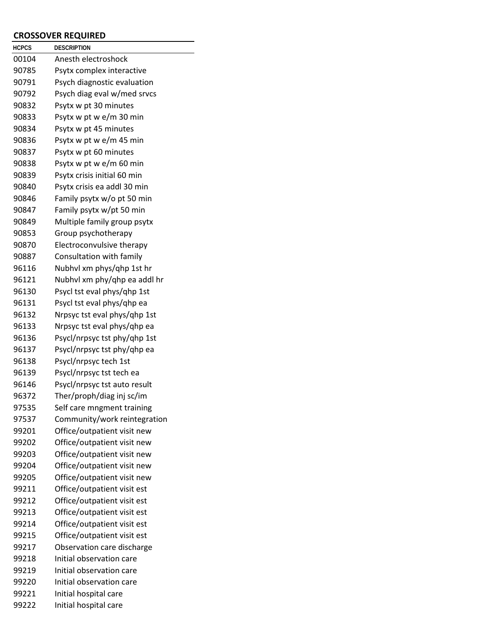## **CROSSOVER REQUIRED**

| <b>HCPCS</b> | DESCRIPTION                  |
|--------------|------------------------------|
| 00104        | Anesth electroshock          |
| 90785        | Psytx complex interactive    |
| 90791        | Psych diagnostic evaluation  |
| 90792        | Psych diag eval w/med srvcs  |
| 90832        | Psytx w pt 30 minutes        |
| 90833        | Psytx w pt w e/m 30 min      |
| 90834        | Psytx w pt 45 minutes        |
| 90836        | Psytx w pt w e/m 45 min      |
| 90837        | Psytx w pt 60 minutes        |
| 90838        | Psytx w pt w e/m 60 min      |
| 90839        | Psytx crisis initial 60 min  |
| 90840        | Psytx crisis ea addl 30 min  |
| 90846        | Family psytx w/o pt 50 min   |
| 90847        | Family psytx w/pt 50 min     |
| 90849        | Multiple family group psytx  |
| 90853        | Group psychotherapy          |
| 90870        | Electroconvulsive therapy    |
| 90887        | Consultation with family     |
| 96116        | Nubhyl xm phys/qhp 1st hr    |
| 96121        | Nubhyl xm phy/qhp ea addl hr |
| 96130        | Psycl tst eval phys/qhp 1st  |
| 96131        | Psycl tst eval phys/qhp ea   |
| 96132        | Nrpsyc tst eval phys/qhp 1st |
| 96133        | Nrpsyc tst eval phys/qhp ea  |
| 96136        | Psycl/nrpsyc tst phy/qhp 1st |
| 96137        | Psycl/nrpsyc tst phy/qhp ea  |
| 96138        | Psycl/nrpsyc tech 1st        |
| 96139        | Psycl/nrpsyc tst tech ea     |
| 96146        | Psycl/nrpsyc tst auto result |
| 96372        | Ther/proph/diag inj sc/im    |
| 97535        | Self care mngment training   |
| 97537        | Community/work reintegration |
| 99201        | Office/outpatient visit new  |
| 99202        | Office/outpatient visit new  |
| 99203        | Office/outpatient visit new  |
| 99204        | Office/outpatient visit new  |
| 99205        | Office/outpatient visit new  |
| 99211        | Office/outpatient visit est  |
| 99212        | Office/outpatient visit est  |
| 99213        | Office/outpatient visit est  |
| 99214        | Office/outpatient visit est  |
| 99215        | Office/outpatient visit est  |
| 99217        | Observation care discharge   |
| 99218        | Initial observation care     |
| 99219        | Initial observation care     |
| 99220        | Initial observation care     |
| 99221        | Initial hospital care        |
| 99222        | Initial hospital care        |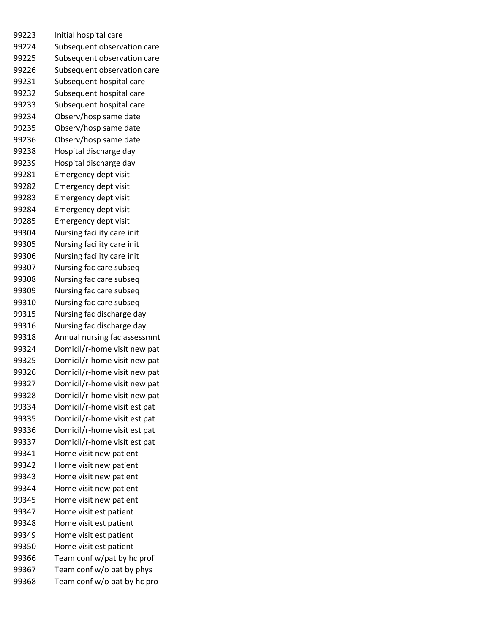Initial hospital care Subsequent observation care Subsequent observation care Subsequent observation care Subsequent hospital care Subsequent hospital care Subsequent hospital care Observ/hosp same date Observ/hosp same date Observ/hosp same date Hospital discharge day Hospital discharge day Emergency dept visit Emergency dept visit Emergency dept visit Emergency dept visit Emergency dept visit Nursing facility care init Nursing facility care init Nursing facility care init Nursing fac care subseq Nursing fac care subseq Nursing fac care subseq Nursing fac care subseq Nursing fac discharge day Nursing fac discharge day Annual nursing fac assessmnt Domicil/r-home visit new pat Domicil/r-home visit new pat Domicil/r-home visit new pat Domicil/r-home visit new pat Domicil/r-home visit new pat Domicil/r-home visit est pat Domicil/r-home visit est pat Domicil/r-home visit est pat Domicil/r-home visit est pat Home visit new patient Home visit new patient Home visit new patient Home visit new patient Home visit new patient Home visit est patient Home visit est patient Home visit est patient Home visit est patient Team conf w/pat by hc prof Team conf w/o pat by phys Team conf w/o pat by hc pro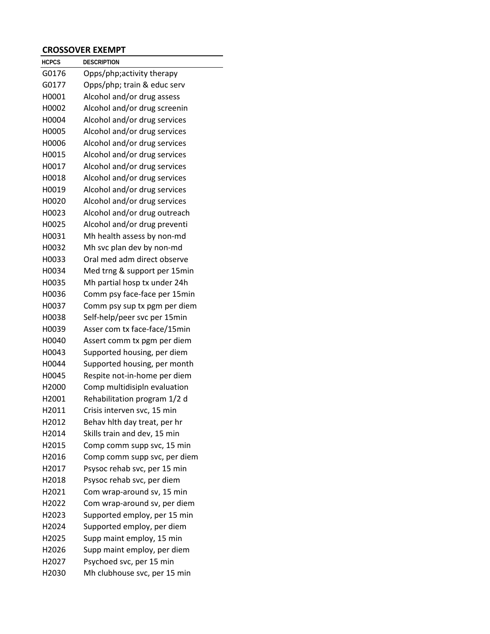## **CROSSOVER EXEMPT**

| <b>HCPCS</b> | DESCRIPTION                  |
|--------------|------------------------------|
| G0176        | Opps/php;activity therapy    |
| G0177        | Opps/php; train & educ serv  |
| H0001        | Alcohol and/or drug assess   |
| H0002        | Alcohol and/or drug screenin |
| H0004        | Alcohol and/or drug services |
| H0005        | Alcohol and/or drug services |
| H0006        | Alcohol and/or drug services |
| H0015        | Alcohol and/or drug services |
| H0017        | Alcohol and/or drug services |
| H0018        | Alcohol and/or drug services |
| H0019        | Alcohol and/or drug services |
| H0020        | Alcohol and/or drug services |
| H0023        | Alcohol and/or drug outreach |
| H0025        | Alcohol and/or drug preventi |
| H0031        | Mh health assess by non-md   |
| H0032        | Mh svc plan dev by non-md    |
| H0033        | Oral med adm direct observe  |
| H0034        | Med trng & support per 15min |
| H0035        | Mh partial hosp tx under 24h |
| H0036        | Comm psy face-face per 15min |
| H0037        | Comm psy sup tx pgm per diem |
| H0038        | Self-help/peer svc per 15min |
| H0039        | Asser com tx face-face/15min |
| H0040        | Assert comm tx pgm per diem  |
| H0043        | Supported housing, per diem  |
| H0044        | Supported housing, per month |
| H0045        | Respite not-in-home per diem |
| H2000        | Comp multidisipln evaluation |
| H2001        | Rehabilitation program 1/2 d |
| H2011        | Crisis interven svc, 15 min  |
| H2012        | Behav hith day treat, per hr |
| H2014        | Skills train and dev, 15 min |
| H2015        | Comp comm supp svc, 15 min   |
| H2016        | Comp comm supp svc, per diem |
| H2017        | Psysoc rehab svc, per 15 min |
| H2018        | Psysoc rehab svc, per diem   |
| H2021        | Com wrap-around sv, 15 min   |
| H2022        | Com wrap-around sv, per diem |
| H2023        | Supported employ, per 15 min |
| H2024        | Supported employ, per diem   |
| H2025        | Supp maint employ, 15 min    |
| H2026        | Supp maint employ, per diem  |
| H2027        | Psychoed svc, per 15 min     |
| H2030        | Mh clubhouse svc, per 15 min |